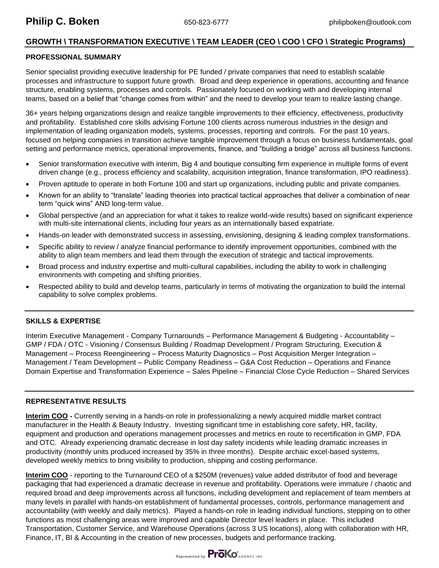# **GROWTH \ TRANSFORMATION EXECUTIVE \ TEAM LEADER (CEO \ COO \ CFO \ Strategic Programs)**

# **PROFESSIONAL SUMMARY**

Senior specialist providing executive leadership for PE funded / private companies that need to establish scalable processes and infrastructure to support future growth. Broad and deep experience in operations, accounting and finance structure, enabling systems, processes and controls. Passionately focused on working with and developing internal teams, based on a belief that "change comes from within" and the need to develop your team to realize lasting change.

36+ years helping organizations design and realize tangible improvements to their efficiency, effectiveness, productivity and profitability. Established core skills advising Fortune 100 clients across numerous industries in the design and implementation of leading organization models, systems, processes, reporting and controls. For the past 10 years, focused on helping companies in transition achieve tangible improvement through a focus on business fundamentals, goal setting and performance metrics, operational improvements, finance, and "building a bridge" across all business functions.

- Senior transformation executive with interim, Big 4 and boutique consulting firm experience in multiple forms of event driven change (e.g., process efficiency and scalability, acquisition integration, finance transformation, IPO readiness).
- Proven aptitude to operate in both Fortune 100 and start up organizations, including public and private companies.
- Known for an ability to "translate" leading theories into practical tactical approaches that deliver a combination of near term "quick wins" AND long-term value.
- Global perspective (and an appreciation for what it takes to realize world-wide results) based on significant experience with multi-site international clients, including four years as an internationally based expatriate.
- Hands-on leader with demonstrated success in assessing, envisioning, designing & leading complex transformations.
- Specific ability to review / analyze financial performance to identify improvement opportunities, combined with the ability to align team members and lead them through the execution of strategic and tactical improvements.
- Broad process and industry expertise and multi-cultural capabilities, including the ability to work in challenging environments with competing and shifting priorities.
- Respected ability to build and develop teams, particularly in terms of motivating the organization to build the internal capability to solve complex problems.

# **SKILLS & EXPERTISE**

Interim Executive Management - Company Turnarounds – Performance Management & Budgeting - Accountability – GMP / FDA / OTC - Visioning / Consensus Building / Roadmap Development / Program Structuring, Execution & Management – Process Reengineering – Process Maturity Diagnostics – Post Acquisition Merger Integration – Management / Team Development – Public Company Readiness – G&A Cost Reduction – Operations and Finance Domain Expertise and Transformation Experience – Sales Pipeline – Financial Close Cycle Reduction – Shared Services

## **REPRESENTATIVE RESULTS**

**Interim COO -** Currently serving in a hands-on role in professionalizing a newly acquired middle market contract manufacturer in the Health & Beauty Industry. Investing significant time in establishing core safety, HR, facility, equipment and production and operations management processes and metrics en route to recertification in GMP, FDA and OTC. Already experiencing dramatic decrease in lost day safety incidents while leading dramatic increases in productivity (monthly units produced increased by 35% in three months). Despite archaic excel-based systems, developed weekly metrics to bring visibility to production, shipping and costing performance.

**Interim COO** - reporting to the Turnaround CEO of a \$250M (revenues) value added distributor of food and beverage packaging that had experienced a dramatic decrease in revenue and profitability. Operations were immature / chaotic and required broad and deep improvements across all functions, including development and replacement of team members at many levels in parallel with hands-on establishment of fundamental processes, controls, performance management and accountability (with weekly and daily metrics). Played a hands-on role in leading individual functions, stepping on to other functions as most challenging areas were improved and capable Director level leaders in place. This included Transportation, Customer Service, and Warehouse Operations (across 3 US locations), along with collaboration with HR, Finance, IT, BI & Accounting in the creation of new processes, budgets and performance tracking.

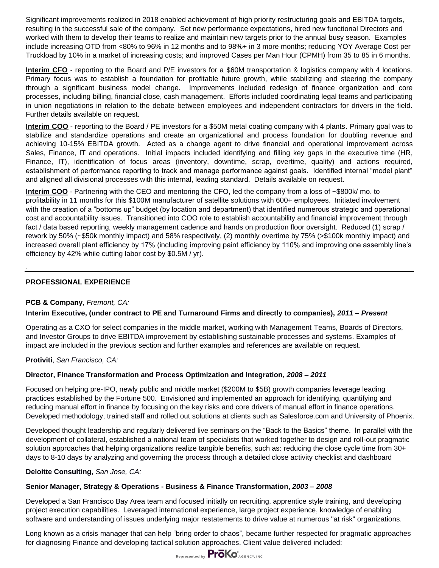Significant improvements realized in 2018 enabled achievement of high priority restructuring goals and EBITDA targets, resulting in the successful sale of the company. Set new performance expectations, hired new functional Directors and worked with them to develop their teams to realize and maintain new targets prior to the annual busy season. Examples include increasing OTD from <80% to 96% in 12 months and to 98%+ in 3 more months; reducing YOY Average Cost per Truckload by 10% in a market of increasing costs; and improved Cases per Man Hour (CPMH) from 35 to 85 in 6 months.

**Interim CFO** - reporting to the Board and P/E investors for a \$60M transportation & logistics company with 4 locations. Primary focus was to establish a foundation for profitable future growth, while stabilizing and steering the company through a significant business model change. Improvements included redesign of finance organization and core processes, including billing, financial close, cash management. Efforts included coordinating legal teams and participating in union negotiations in relation to the debate between employees and independent contractors for drivers in the field. Further details available on request.

**Interim COO** - reporting to the Board / PE investors for a \$50M metal coating company with 4 plants. Primary goal was to stabilize and standardize operations and create an organizational and process foundation for doubling revenue and achieving 10-15% EBITDA growth. Acted as a change agent to drive financial and operational improvement across Sales, Finance, IT and operations. Initial impacts included identifying and filling key gaps in the executive time (HR, Finance, IT), identification of focus areas (inventory, downtime, scrap, overtime, quality) and actions required, establishment of performance reporting to track and manage performance against goals. Identified internal "model plant" and aligned all divisional processes with this internal, leading standard. Details available on request.

**Interim COO** - Partnering with the CEO and mentoring the CFO, led the company from a loss of ~\$800k/ mo. to profitability in 11 months for this \$100M manufacturer of satellite solutions with 600+ employees. Initiated involvement with the creation of a "bottoms up" budget (by location and department) that identified numerous strategic and operational cost and accountability issues. Transitioned into COO role to establish accountability and financial improvement through fact / data based reporting, weekly management cadence and hands on production floor oversight. Reduced (1) scrap / rework by 50% (~\$50k monthly impact) and 58% respectively, (2) monthly overtime by 75% (>\$100k monthly impact) and increased overall plant efficiency by 17% (including improving paint efficiency by 110% and improving one assembly line's efficiency by 42% while cutting labor cost by \$0.5M / yr).

# **PROFESSIONAL EXPERIENCE**

.

## **PCB & Company**, *Fremont, CA:*

## **Interim Executive, (under contract to PE and Turnaround Firms and directly to companies),** *2011 – Present*

Operating as a CXO for select companies in the middle market, working with Management Teams, Boards of Directors, and Investor Groups to drive EBITDA improvement by establishing sustainable processes and systems. Examples of impact are included in the previous section and further examples and references are available on request.

**Protiviti**, *San Francisco, CA:*

## **Director, Finance Transformation and Process Optimization and Integration,** *2008 – 2011*

Focused on helping pre-IPO, newly public and middle market (\$200M to \$5B) growth companies leverage leading practices established by the Fortune 500. Envisioned and implemented an approach for identifying, quantifying and reducing manual effort in finance by focusing on the key risks and core drivers of manual effort in finance operations. Developed methodology, trained staff and rolled out solutions at clients such as Salesforce.com and University of Phoenix.

Developed thought leadership and regularly delivered live seminars on the "Back to the Basics" theme. In parallel with the development of collateral, established a national team of specialists that worked together to design and roll-out pragmatic solution approaches that helping organizations realize tangible benefits, such as: reducing the close cycle time from 30+ days to 8-10 days by analyzing and governing the process through a detailed close activity checklist and dashboard

#### **Deloitte Consulting**, *San Jose, CA:*

## **Senior Manager, Strategy & Operations - Business & Finance Transformation,** *2003 – 2008*

Developed a San Francisco Bay Area team and focused initially on recruiting, apprentice style training, and developing project execution capabilities. Leveraged international experience, large project experience, knowledge of enabling software and understanding of issues underlying major restatements to drive value at numerous "at risk" organizations.

Long known as a crisis manager that can help "bring order to chaos", became further respected for pragmatic approaches for diagnosing Finance and developing tactical solution approaches. Client value delivered included:

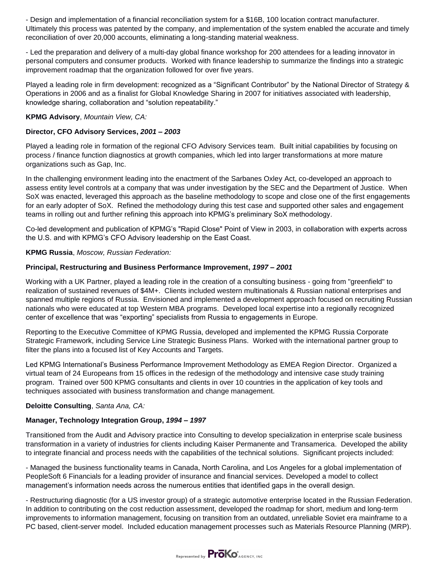- Design and implementation of a financial reconciliation system for a \$16B, 100 location contract manufacturer. Ultimately this process was patented by the company, and implementation of the system enabled the accurate and timely reconciliation of over 20,000 accounts, eliminating a long-standing material weakness.

- Led the preparation and delivery of a multi-day global finance workshop for 200 attendees for a leading innovator in personal computers and consumer products. Worked with finance leadership to summarize the findings into a strategic improvement roadmap that the organization followed for over five years.

Played a leading role in firm development: recognized as a "Significant Contributor" by the National Director of Strategy & Operations in 2006 and as a finalist for Global Knowledge Sharing in 2007 for initiatives associated with leadership, knowledge sharing, collaboration and "solution repeatability."

#### **KPMG Advisory**, *Mountain View, CA:*

## **Director, CFO Advisory Services,** *2001 – 2003*

Played a leading role in formation of the regional CFO Advisory Services team. Built initial capabilities by focusing on process / finance function diagnostics at growth companies, which led into larger transformations at more mature organizations such as Gap, Inc.

In the challenging environment leading into the enactment of the Sarbanes Oxley Act, co-developed an approach to assess entity level controls at a company that was under investigation by the SEC and the Department of Justice. When SoX was enacted, leveraged this approach as the baseline methodology to scope and close one of the first engagements for an early adopter of SoX. Refined the methodology during this test case and supported other sales and engagement teams in rolling out and further refining this approach into KPMG's preliminary SoX methodology.

Co-led development and publication of KPMG's "Rapid Close" Point of View in 2003, in collaboration with experts across the U.S. and with KPMG's CFO Advisory leadership on the East Coast.

## **KPMG Russia**, *Moscow, Russian Federation:*

#### **Principal, Restructuring and Business Performance Improvement,** *1997 – 2001*

Working with a UK Partner, played a leading role in the creation of a consulting business - going from "greenfield" to realization of sustained revenues of \$4M+. Clients included western multinationals & Russian national enterprises and spanned multiple regions of Russia. Envisioned and implemented a development approach focused on recruiting Russian nationals who were educated at top Western MBA programs. Developed local expertise into a regionally recognized center of excellence that was "exporting" specialists from Russia to engagements in Europe.

Reporting to the Executive Committee of KPMG Russia, developed and implemented the KPMG Russia Corporate Strategic Framework, including Service Line Strategic Business Plans. Worked with the international partner group to filter the plans into a focused list of Key Accounts and Targets.

Led KPMG International's Business Performance Improvement Methodology as EMEA Region Director. Organized a virtual team of 24 Europeans from 15 offices in the redesign of the methodology and intensive case study training program. Trained over 500 KPMG consultants and clients in over 10 countries in the application of key tools and techniques associated with business transformation and change management.

#### **Deloitte Consulting**, *Santa Ana, CA:*

## **Manager, Technology Integration Group,** *1994 – 1997*

Transitioned from the Audit and Advisory practice into Consulting to develop specialization in enterprise scale business transformation in a variety of industries for clients including Kaiser Permanente and Transamerica. Developed the ability to integrate financial and process needs with the capabilities of the technical solutions. Significant projects included:

- Managed the business functionality teams in Canada, North Carolina, and Los Angeles for a global implementation of PeopleSoft 6 Financials for a leading provider of insurance and financial services. Developed a model to collect management's information needs across the numerous entities that identified gaps in the overall design.

- Restructuring diagnostic (for a US investor group) of a strategic automotive enterprise located in the Russian Federation. In addition to contributing on the cost reduction assessment, developed the roadmap for short, medium and long-term improvements to information management, focusing on transition from an outdated, unreliable Soviet era mainframe to a PC based, client-server model. Included education management processes such as Materials Resource Planning (MRP).